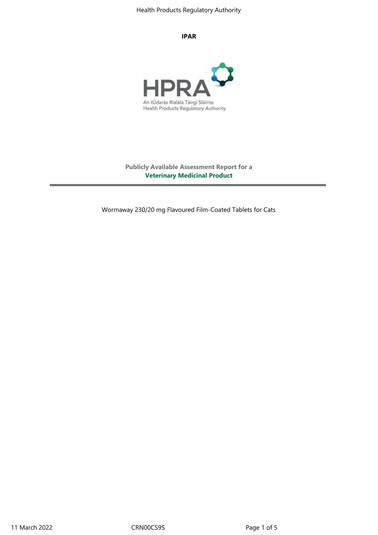#### **IPAR**



**Publicly Available Assessment Report for a Veterinary Medicinal Product**

Wormaway 230/20 mg Flavoured Film-Coated Tablets for Cats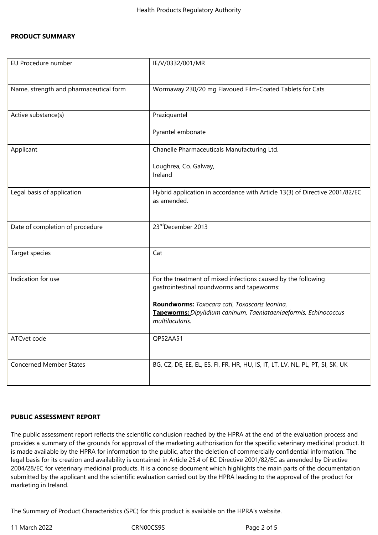### **PRODUCT SUMMARY**

| EU Procedure number                    | IE/V/0332/001/MR                                                                                                                                                                                                                                     |
|----------------------------------------|------------------------------------------------------------------------------------------------------------------------------------------------------------------------------------------------------------------------------------------------------|
| Name, strength and pharmaceutical form | Wormaway 230/20 mg Flavoued Film-Coated Tablets for Cats                                                                                                                                                                                             |
| Active substance(s)                    | Praziquantel<br>Pyrantel embonate                                                                                                                                                                                                                    |
| Applicant                              | Chanelle Pharmaceuticals Manufacturing Ltd.<br>Loughrea, Co. Galway,<br>Ireland                                                                                                                                                                      |
| Legal basis of application             | Hybrid application in accordance with Article 13(3) of Directive 2001/82/EC<br>as amended.                                                                                                                                                           |
| Date of completion of procedure        | 23rdDecember 2013                                                                                                                                                                                                                                    |
| Target species                         | Cat                                                                                                                                                                                                                                                  |
| Indication for use                     | For the treatment of mixed infections caused by the following<br>gastrointestinal roundworms and tapeworms:<br>Roundworms: Toxocara cati, Toxascaris leonina,<br>Tapeworms: Dipylidium caninum, Taeniataeniaeformis, Echinococcus<br>multilocularis. |
| ATCvet code                            | QP52AA51                                                                                                                                                                                                                                             |
| <b>Concerned Member States</b>         | BG, CZ, DE, EE, EL, ES, FI, FR, HR, HU, IS, IT, LT, LV, NL, PL, PT, SI, SK, UK                                                                                                                                                                       |

### **PUBLIC ASSESSMENT REPORT**

The public assessment report reflects the scientific conclusion reached by the HPRA at the end of the evaluation process and provides a summary of the grounds for approval of the marketing authorisation for the specific veterinary medicinal product. It is made available by the HPRA for information to the public, after the deletion of commercially confidential information. The legal basis for its creation and availability is contained in Article 25.4 of EC Directive 2001/82/EC as amended by Directive 2004/28/EC for veterinary medicinal products. It is a concise document which highlights the main parts of the documentation submitted by the applicant and the scientific evaluation carried out by the HPRA leading to the approval of the product for marketing in Ireland.

The Summary of Product Characteristics (SPC) for this product is available on the HPRA's website.

11 March 2022 CRN00CS9S Page 2 of 5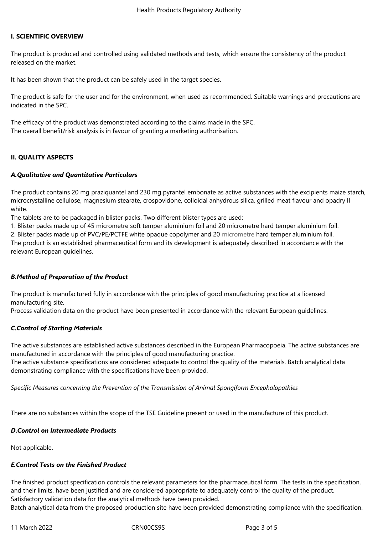### **I. SCIENTIFIC OVERVIEW**

The product is produced and controlled using validated methods and tests, which ensure the consistency of the product released on the market.

It has been shown that the product can be safely used in the target species.

The product is safe for the user and for the environment, when used as recommended. Suitable warnings and precautions are indicated in the SPC.

The efficacy of the product was demonstrated according to the claims made in the SPC. The overall benefit/risk analysis is in favour of granting a marketing authorisation.

## **II. QUALITY ASPECTS**

## *A.Qualitative and Quantitative Particulars*

The product contains 20 mg praziquantel and 230 mg pyrantel embonate as active substances with the excipients maize starch, microcrystalline cellulose, magnesium stearate, crospovidone, colloidal anhydrous silica, grilled meat flavour and opadry II white.

The tablets are to be packaged in blister packs. Two different blister types are used:

1. Blister packs made up of 45 micrometre soft temper aluminium foil and 20 micrometre hard temper aluminium foil.

2. Blister packs made up of PVC/PE/PCTFE white opaque copolymer and 20 micrometre hard temper aluminium foil.

The product is an established pharmaceutical form and its development is adequately described in accordance with the relevant European guidelines.

## *B.Method of Preparation of the Product*

The product is manufactured fully in accordance with the principles of good manufacturing practice at a licensed manufacturing site*.*

Process validation data on the product have been presented in accordance with the relevant European guidelines.

## *C.Control of Starting Materials*

The active substances are established active substances described in the European Pharmacopoeia. The active substances are manufactured in accordance with the principles of good manufacturing practice.

The active substance specifications are considered adequate to control the quality of the materials. Batch analytical data demonstrating compliance with the specifications have been provided.

*Specific Measures concerning the Prevention of the Transmission of Animal Spongiform Encephalopathies*

There are no substances within the scope of the TSE Guideline present or used in the manufacture of this product.

### *D.Control on Intermediate Products*

Not applicable.

## *E.Control Tests on the Finished Product*

The finished product specification controls the relevant parameters for the pharmaceutical form. The tests in the specification, and their limits, have been justified and are considered appropriate to adequately control the quality of the product. Satisfactory validation data for the analytical methods have been provided.

Batch analytical data from the proposed production site have been provided demonstrating compliance with the specification.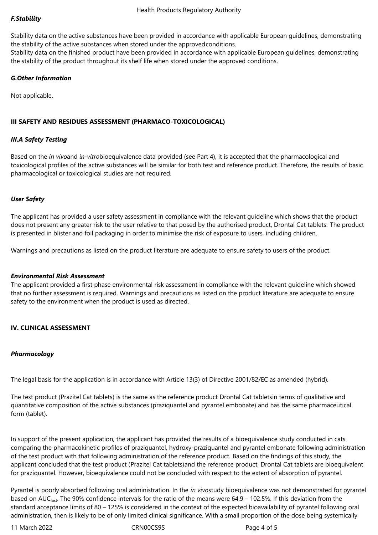Stability data on the active substances have been provided in accordance with applicable European guidelines, demonstrating the stability of the active substances when stored under the approvedconditions.

Stability data on the finished product have been provided in accordance with applicable European guidelines, demonstrating the stability of the product throughout its shelf life when stored under the approved conditions.

## *G.Other Information*

Not applicable.

## **III SAFETY AND RESIDUES ASSESSMENT (PHARMACO-TOXICOLOGICAL)**

## *III.A Safety Testing*

Based on the *in vivo*and *in-vitro*bioequivalence data provided (see Part 4), it is accepted that the pharmacological and toxicological profiles of the active substances will be similar for both test and reference product. Therefore, the results of basic pharmacological or toxicological studies are not required.

## *User Safety*

The applicant has provided a user safety assessment in compliance with the relevant guideline which shows that the product does not present any greater risk to the user relative to that posed by the authorised product, Drontal Cat tablets. The product is presented in blister and foil packaging in order to minimise the risk of exposure to users, including children.

Warnings and precautions as listed on the product literature are adequate to ensure safety to users of the product.

### *Environmental Risk Assessment*

The applicant provided a first phase environmental risk assessment in compliance with the relevant guideline which showed that no further assessment is required. Warnings and precautions as listed on the product literature are adequate to ensure safety to the environment when the product is used as directed.

## **IV. CLINICAL ASSESSMENT**

### *Pharmacology*

The legal basis for the application is in accordance with Article 13(3) of Directive 2001/82/EC as amended (hybrid).

The test product (Prazitel Cat tablets) is the same as the reference product Drontal Cat tabletsin terms of qualitative and quantitative composition of the active substances (praziquantel and pyrantel embonate) and has the same pharmaceutical form (tablet).

In support of the present application, the applicant has provided the results of a bioequivalence study conducted in cats comparing the pharmacokinetic profiles of praziquantel, hydroxy-praziquantel and pyrantel embonate following administration of the test product with that following administration of the reference product. Based on the findings of this study, the applicant concluded that the test product (Prazitel Cat tablets)and the reference product, Drontal Cat tablets are bioequivalent for praziquantel. However, bioequivalence could not be concluded with respect to the extent of absorption of pyrantel.

Pyrantel is poorly absorbed following oral administration. In the *in vivo*study bioequivalence was not demonstrated for pyrantel based on AUC<sub>last</sub>. The 90% confidence intervals for the ratio of the means were  $64.9 - 102.5$ %. If this deviation from the standard acceptance limits of 80 – 125% is considered in the context of the expected bioavailability of pyrantel following oral administration, then is likely to be of only limited clinical significance. With a small proportion of the dose being systemically